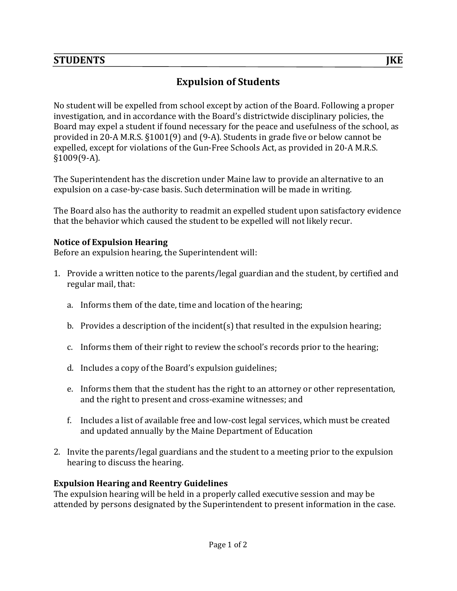## **STUDENTS** *JKE*

# **Expulsion of Students**

No student will be expelled from school except by action of the Board. Following a proper investigation, and in accordance with the Board's districtwide disciplinary policies, the Board may expel a student if found necessary for the peace and usefulness of the school, as provided in 20-A M.R.S.  $\S1001(9)$  and  $(9-A)$ . Students in grade five or below cannot be expelled, except for violations of the Gun-Free Schools Act, as provided in 20-A M.R.S. §1009(9-A).

The Superintendent has the discretion under Maine law to provide an alternative to an expulsion on a case-by-case basis. Such determination will be made in writing.

The Board also has the authority to readmit an expelled student upon satisfactory evidence that the behavior which caused the student to be expelled will not likely recur.

#### **Notice of Expulsion Hearing**

Before an expulsion hearing, the Superintendent will:

- 1. Provide a written notice to the parents/legal guardian and the student, by certified and regular mail, that:
	- a. Informs them of the date, time and location of the hearing;
	- b. Provides a description of the incident(s) that resulted in the expulsion hearing;
	- c. Informs them of their right to review the school's records prior to the hearing;
	- d. Includes a copy of the Board's expulsion guidelines;
	- e. Informs them that the student has the right to an attorney or other representation, and the right to present and cross-examine witnesses; and
	- f. Includes a list of available free and low-cost legal services, which must be created and updated annually by the Maine Department of Education
- 2. Invite the parents/legal guardians and the student to a meeting prior to the expulsion hearing to discuss the hearing.

#### **Expulsion Hearing and Reentry Guidelines**

The expulsion hearing will be held in a properly called executive session and may be attended by persons designated by the Superintendent to present information in the case.